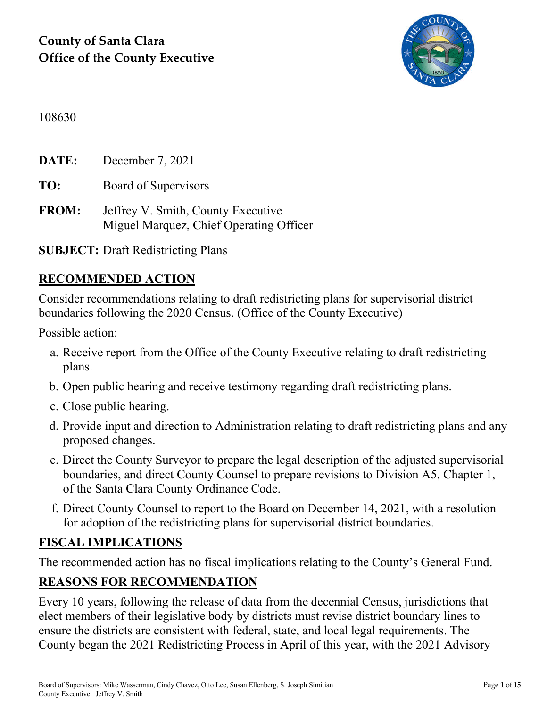

#### 108630

**DATE:** December 7, 2021

**TO:** Board of Supervisors

**FROM:** Jeffrey V. Smith, County Executive Miguel Marquez, Chief Operating Officer

**SUBJECT:** Draft Redistricting Plans

### **RECOMMENDED ACTION**

Consider recommendations relating to draft redistricting plans for supervisorial district boundaries following the 2020 Census. (Office of the County Executive)

Possible action:

- a. Receive report from the Office of the County Executive relating to draft redistricting plans.
- b. Open public hearing and receive testimony regarding draft redistricting plans.
- c. Close public hearing.
- d. Provide input and direction to Administration relating to draft redistricting plans and any proposed changes.
- e. Direct the County Surveyor to prepare the legal description of the adjusted supervisorial boundaries, and direct County Counsel to prepare revisions to Division A5, Chapter 1, of the Santa Clara County Ordinance Code.
- f. Direct County Counsel to report to the Board on December 14, 2021, with a resolution for adoption of the redistricting plans for supervisorial district boundaries.

#### **FISCAL IMPLICATIONS**

The recommended action has no fiscal implications relating to the County's General Fund.

## **REASONS FOR RECOMMENDATION**

Every 10 years, following the release of data from the decennial Census, jurisdictions that elect members of their legislative body by districts must revise district boundary lines to ensure the districts are consistent with federal, state, and local legal requirements. The County began the 2021 Redistricting Process in April of this year, with the 2021 Advisory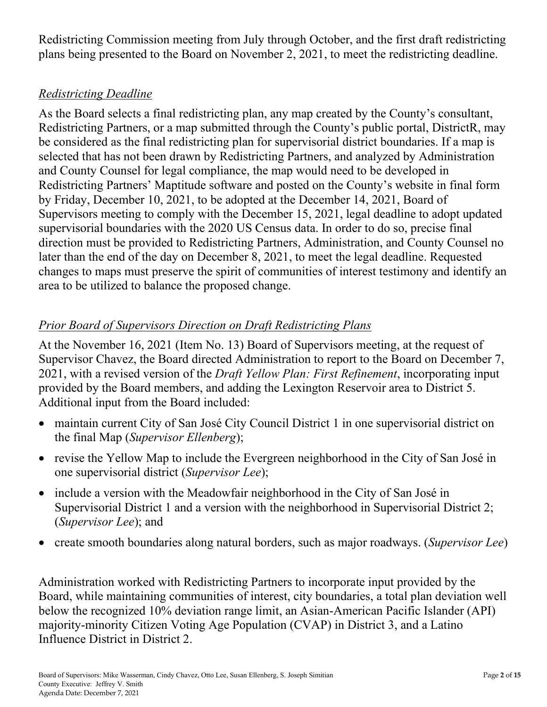Redistricting Commission meeting from July through October, and the first draft redistricting plans being presented to the Board on November 2, 2021, to meet the redistricting deadline.

### *Redistricting Deadline*

As the Board selects a final redistricting plan, any map created by the County's consultant, Redistricting Partners, or a map submitted through the County's public portal, DistrictR, may be considered as the final redistricting plan for supervisorial district boundaries. If a map is selected that has not been drawn by Redistricting Partners, and analyzed by Administration and County Counsel for legal compliance, the map would need to be developed in Redistricting Partners' Maptitude software and posted on the County's website in final form by Friday, December 10, 2021, to be adopted at the December 14, 2021, Board of Supervisors meeting to comply with the December 15, 2021, legal deadline to adopt updated supervisorial boundaries with the 2020 US Census data. In order to do so, precise final direction must be provided to Redistricting Partners, Administration, and County Counsel no later than the end of the day on December 8, 2021, to meet the legal deadline. Requested changes to maps must preserve the spirit of communities of interest testimony and identify an area to be utilized to balance the proposed change.

## *Prior Board of Supervisors Direction on Draft Redistricting Plans*

At the November 16, 2021 (Item No. 13) Board of Supervisors meeting, at the request of Supervisor Chavez, the Board directed Administration to report to the Board on December 7, 2021, with a revised version of the *Draft Yellow Plan: First Refinement*, incorporating input provided by the Board members, and adding the Lexington Reservoir area to District 5. Additional input from the Board included:

- maintain current City of San José City Council District 1 in one supervisorial district on the final Map (*Supervisor Ellenberg*);
- revise the Yellow Map to include the Evergreen neighborhood in the City of San José in one supervisorial district (*Supervisor Lee*);
- include a version with the Meadowfair neighborhood in the City of San José in Supervisorial District 1 and a version with the neighborhood in Supervisorial District 2; (*Supervisor Lee*); and
- create smooth boundaries along natural borders, such as major roadways. (*Supervisor Lee*)

Administration worked with Redistricting Partners to incorporate input provided by the Board, while maintaining communities of interest, city boundaries, a total plan deviation well below the recognized 10% deviation range limit, an Asian-American Pacific Islander (API) majority-minority Citizen Voting Age Population (CVAP) in District 3, and a Latino Influence District in District 2.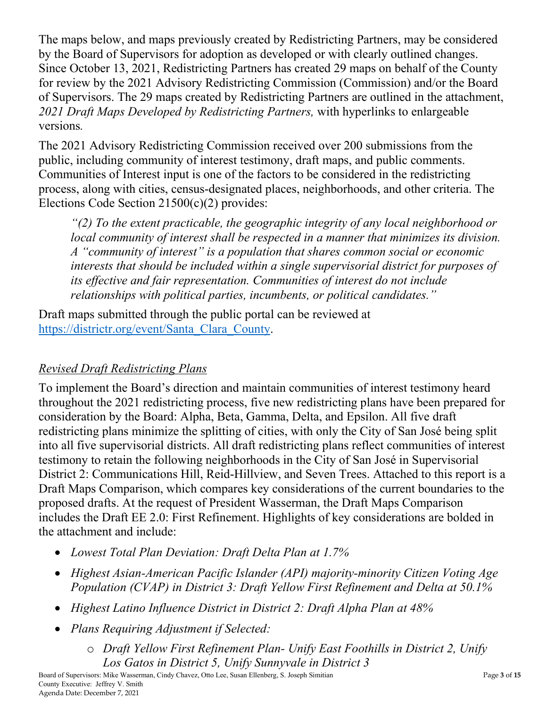The maps below, and maps previously created by Redistricting Partners, may be considered by the Board of Supervisors for adoption as developed or with clearly outlined changes. Since October 13, 2021, Redistricting Partners has created 29 maps on behalf of the County for review by the 2021 Advisory Redistricting Commission (Commission) and/or the Board of Supervisors. The 29 maps created by Redistricting Partners are outlined in the attachment, *2021 Draft Maps Developed by Redistricting Partners,* with hyperlinks to enlargeable versions*.*

The 2021 Advisory Redistricting Commission received over 200 submissions from the public, including community of interest testimony, draft maps, and public comments. Communities of Interest input is one of the factors to be considered in the redistricting process, along with cities, census-designated places, neighborhoods, and other criteria. The Elections Code Section 21500(c)(2) provides:

*"(2) To the extent practicable, the geographic integrity of any local neighborhood or local community of interest shall be respected in a manner that minimizes its division. A "community of interest" is a population that shares common social or economic interests that should be included within a single supervisorial district for purposes of its effective and fair representation. Communities of interest do not include relationships with political parties, incumbents, or political candidates."*

Draft maps submitted through the public portal can be reviewed at [https://districtr.org/event/Santa\\_Clara\\_County.](https://districtr.org/event/Santa_Clara_County)

## *Revised Draft Redistricting Plans*

To implement the Board's direction and maintain communities of interest testimony heard throughout the 2021 redistricting process, five new redistricting plans have been prepared for consideration by the Board: Alpha, Beta, Gamma, Delta, and Epsilon. All five draft redistricting plans minimize the splitting of cities, with only the City of San José being split into all five supervisorial districts. All draft redistricting plans reflect communities of interest testimony to retain the following neighborhoods in the City of San José in Supervisorial District 2: Communications Hill, Reid-Hillview, and Seven Trees. Attached to this report is a Draft Maps Comparison, which compares key considerations of the current boundaries to the proposed drafts. At the request of President Wasserman, the Draft Maps Comparison includes the Draft EE 2.0: First Refinement. Highlights of key considerations are bolded in the attachment and include:

- *Lowest Total Plan Deviation: Draft Delta Plan at 1.7%*
- *Highest Asian-American Pacific Islander (API) majority-minority Citizen Voting Age Population (CVAP) in District 3: Draft Yellow First Refinement and Delta at 50.1%*
- *Highest Latino Influence District in District 2: Draft Alpha Plan at 48%*
- *Plans Requiring Adjustment if Selected:*
	- o *Draft Yellow First Refinement Plan- Unify East Foothills in District 2, Unify Los Gatos in District 5, Unify Sunnyvale in District 3*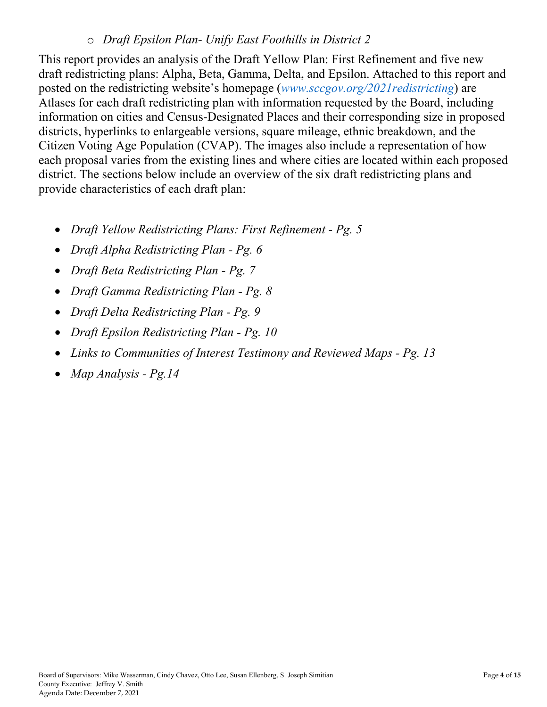#### o *Draft Epsilon Plan- Unify East Foothills in District 2*

This report provides an analysis of the Draft Yellow Plan: First Refinement and five new draft redistricting plans: Alpha, Beta, Gamma, Delta, and Epsilon. Attached to this report and posted on the redistricting website's homepage (*[www.sccgov.org/2021redistricting](http://www.sccgov.org/2021redistricting)*) are Atlases for each draft redistricting plan with information requested by the Board, including information on cities and Census-Designated Places and their corresponding size in proposed districts, hyperlinks to enlargeable versions, square mileage, ethnic breakdown, and the Citizen Voting Age Population (CVAP). The images also include a representation of how each proposal varies from the existing lines and where cities are located within each proposed district. The sections below include an overview of the six draft redistricting plans and provide characteristics of each draft plan:

- *Draft Yellow Redistricting Plans: First Refinement - Pg. 5*
- *Draft Alpha Redistricting Plan - Pg. 6*
- *Draft Beta Redistricting Plan - Pg. 7*
- *Draft Gamma Redistricting Plan - Pg. 8*
- *Draft Delta Redistricting Plan - Pg. 9*
- *Draft Epsilon Redistricting Plan - Pg. 10*
- *Links to Communities of Interest Testimony and Reviewed Maps - Pg. 13*
- *Map Analysis - Pg.14*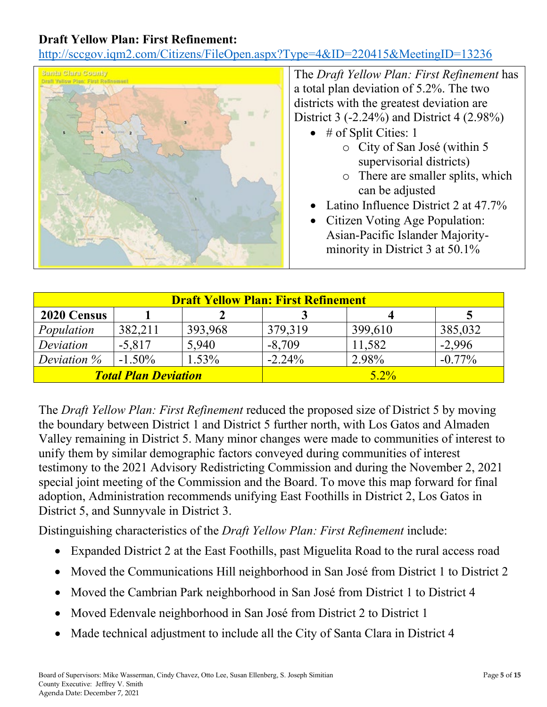#### **Draft Yellow Plan: First Refinement:**

<http://sccgov.iqm2.com/Citizens/FileOpen.aspx?Type=4&ID=220415&MeetingID=13236>



The *Draft Yellow Plan: First Refinement* has a total plan deviation of 5.2%. The two districts with the greatest deviation are District 3 (-2.24%) and District 4 (2.98%)

- $\bullet$  # of Split Cities: 1
	- o City of San José (within 5 supervisorial districts)
	- o There are smaller splits, which can be adjusted
- Latino Influence District 2 at 47.7%
- Citizen Voting Age Population: Asian-Pacific Islander Majorityminority in District 3 at 50.1%

| <b>Draft Yellow Plan: First Refinement</b> |           |          |           |         |           |  |
|--------------------------------------------|-----------|----------|-----------|---------|-----------|--|
| 2020 Census                                |           |          |           |         |           |  |
| Population                                 | 382,211   | 393,968  | 379,319   | 399,610 | 385,032   |  |
| Deviation                                  | $-5,817$  | 5.940    | $-8,709$  | 11,582  | $-2,996$  |  |
| Deviation $\%$                             | $-1.50\%$ | $1.53\%$ | $-2.24\%$ | 2.98%   | $-0.77\%$ |  |
| <b>Total Plan Deviation</b>                |           |          |           | $5.2\%$ |           |  |

The *Draft Yellow Plan: First Refinement* reduced the proposed size of District 5 by moving the boundary between District 1 and District 5 further north, with Los Gatos and Almaden Valley remaining in District 5. Many minor changes were made to communities of interest to unify them by similar demographic factors conveyed during communities of interest testimony to the 2021 Advisory Redistricting Commission and during the November 2, 2021 special joint meeting of the Commission and the Board. To move this map forward for final adoption, Administration recommends unifying East Foothills in District 2, Los Gatos in District 5, and Sunnyvale in District 3.

Distinguishing characteristics of the *Draft Yellow Plan: First Refinement* include:

- Expanded District 2 at the East Foothills, past Miguelita Road to the rural access road
- Moved the Communications Hill neighborhood in San José from District 1 to District 2
- Moved the Cambrian Park neighborhood in San José from District 1 to District 4
- Moved Edenvale neighborhood in San José from District 2 to District 1
- Made technical adjustment to include all the City of Santa Clara in District 4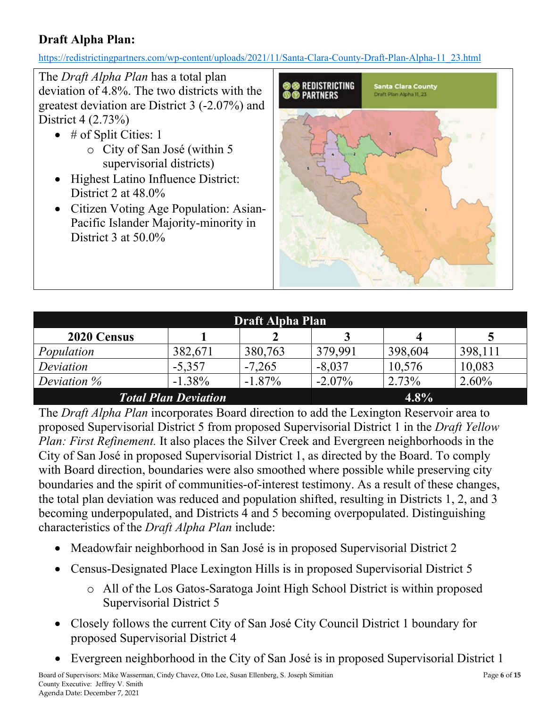## **Draft Alpha Plan:**

[https://redistrictingpartners.com/wp-content/uploads/2021/11/Santa-Clara-County-Draft-Plan-Alpha-11\\_23.html](https://redistrictingpartners.com/wp-content/uploads/2021/11/Santa-Clara-County-Draft-Plan-Alpha-11_23.html)

The *Draft Alpha Plan* has a total plan deviation of 4.8%. The two districts with the greatest deviation are District 3 (-2.07%) and District 4 (2.73%)

- $\bullet$  # of Split Cities: 1 o City of San José (within 5 supervisorial districts)
- Highest Latino Influence District: District 2 at 48.0%
- Citizen Voting Age Population: Asian-Pacific Islander Majority-minority in District 3 at 50.0%



| <b>Draft Alpha Plan</b>                |           |           |           |         |          |  |  |
|----------------------------------------|-----------|-----------|-----------|---------|----------|--|--|
| 2020 Census                            |           |           |           |         |          |  |  |
| Population                             | 382,671   | 380,763   | 379,991   | 398,604 | 398,111  |  |  |
| Deviation                              | $-5,357$  | $-7,265$  | $-8,037$  | 10,576  | 10,083   |  |  |
| Deviation $\%$                         | $-1.38\%$ | $-1.87\%$ | $-2.07\%$ | 2.73%   | $2.60\%$ |  |  |
| <b>Total Plan Deviation</b><br>$4.8\%$ |           |           |           |         |          |  |  |

The *Draft Alpha Plan* incorporates Board direction to add the Lexington Reservoir area to proposed Supervisorial District 5 from proposed Supervisorial District 1 in the *Draft Yellow Plan: First Refinement.* It also places the Silver Creek and Evergreen neighborhoods in the City of San José in proposed Supervisorial District 1, as directed by the Board. To comply with Board direction, boundaries were also smoothed where possible while preserving city boundaries and the spirit of communities-of-interest testimony. As a result of these changes, the total plan deviation was reduced and population shifted, resulting in Districts 1, 2, and 3 becoming underpopulated, and Districts 4 and 5 becoming overpopulated. Distinguishing characteristics of the *Draft Alpha Plan* include:

- Meadowfair neighborhood in San José is in proposed Supervisorial District 2
- Census-Designated Place Lexington Hills is in proposed Supervisorial District 5
	- o All of the Los Gatos-Saratoga Joint High School District is within proposed Supervisorial District 5
- Closely follows the current City of San José City Council District 1 boundary for proposed Supervisorial District 4
- Evergreen neighborhood in the City of San José is in proposed Supervisorial District 1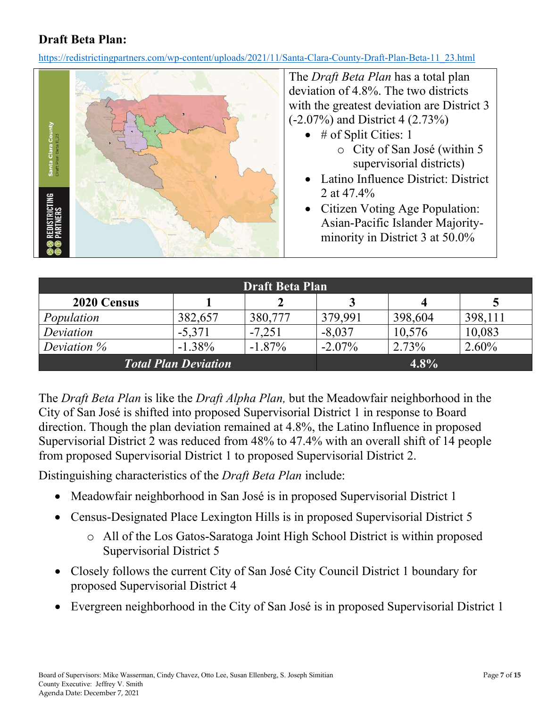### **Draft Beta Plan:**

[https://redistrictingpartners.com/wp-content/uploads/2021/11/Santa-Clara-County-Draft-Plan-Beta-11\\_23.html](https://redistrictingpartners.com/wp-content/uploads/2021/11/Santa-Clara-County-Draft-Plan-Beta-11_23.html)



The *Draft Beta Plan* has a total plan deviation of 4.8%. The two districts with the greatest deviation are District 3 (-2.07%) and District 4 (2.73%)

- $\bullet$  # of Split Cities: 1
	- o City of San José (within 5 supervisorial districts)
- Latino Influence District: District 2 at 47.4%
- Citizen Voting Age Population: Asian-Pacific Islander Majorityminority in District 3 at 50.0%

| <b>Draft Beta Plan</b>      |          |           |           |         |          |  |  |
|-----------------------------|----------|-----------|-----------|---------|----------|--|--|
| 2020 Census                 |          |           |           |         |          |  |  |
| Population                  | 382,657  | 380,777   | 379,991   | 398,604 | 398,111  |  |  |
| Deviation                   | $-5,371$ | $-7,251$  | $-8,037$  | 10,576  | 10,083   |  |  |
| Deviation $\%$              | $-1.38%$ | $-1.87\%$ | $-2.07\%$ | 2.73%   | $2.60\%$ |  |  |
| <b>Total Plan Deviation</b> |          | $4.8\%$   |           |         |          |  |  |

The *Draft Beta Plan* is like the *Draft Alpha Plan,* but the Meadowfair neighborhood in the City of San José is shifted into proposed Supervisorial District 1 in response to Board direction. Though the plan deviation remained at 4.8%, the Latino Influence in proposed Supervisorial District 2 was reduced from 48% to 47.4% with an overall shift of 14 people from proposed Supervisorial District 1 to proposed Supervisorial District 2.

Distinguishing characteristics of the *Draft Beta Plan* include:

- Meadowfair neighborhood in San José is in proposed Supervisorial District 1
- Census-Designated Place Lexington Hills is in proposed Supervisorial District 5
	- o All of the Los Gatos-Saratoga Joint High School District is within proposed Supervisorial District 5
- Closely follows the current City of San José City Council District 1 boundary for proposed Supervisorial District 4
- Evergreen neighborhood in the City of San José is in proposed Supervisorial District 1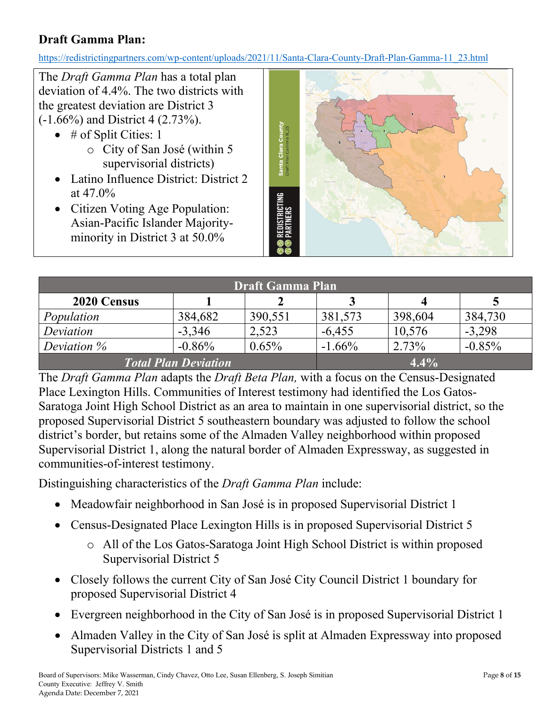## **Draft Gamma Plan:**

[https://redistrictingpartners.com/wp-content/uploads/2021/11/Santa-Clara-County-Draft-Plan-Gamma-11\\_23.html](https://redistrictingpartners.com/wp-content/uploads/2021/11/Santa-Clara-County-Draft-Plan-Gamma-11_23.html)

The *Draft Gamma Plan* has a total plan deviation of 4.4%. The two districts with the greatest deviation are District 3 (-1.66%) and District 4 (2.73%).

- $\bullet$  # of Split Cities: 1 o City of San José (within 5
	- supervisorial districts)
- Latino Influence District: District 2 at  $47.0\%$
- Citizen Voting Age Population: Asian-Pacific Islander Majorityminority in District 3 at 50.0%



| <b>Draft Gamma Plan</b>     |          |          |          |         |          |  |  |
|-----------------------------|----------|----------|----------|---------|----------|--|--|
| 2020 Census                 |          |          |          | 4       |          |  |  |
| Population                  | 384,682  | 390,551  | 381,573  | 398,604 | 384,730  |  |  |
| Deviation                   | $-3,346$ | 2,523    | $-6,455$ | 10,576  | $-3,298$ |  |  |
| Deviation $\%$              | $-0.86%$ | $0.65\%$ | $-1.66%$ | 2.73%   | $-0.85%$ |  |  |
| <b>Total Plan Deviation</b> |          |          |          | 4.4%    |          |  |  |

The *Draft Gamma Plan* adapts the *Draft Beta Plan,* with a focus on the Census-Designated Place Lexington Hills. Communities of Interest testimony had identified the Los Gatos-Saratoga Joint High School District as an area to maintain in one supervisorial district, so the proposed Supervisorial District 5 southeastern boundary was adjusted to follow the school district's border, but retains some of the Almaden Valley neighborhood within proposed Supervisorial District 1, along the natural border of Almaden Expressway, as suggested in communities-of-interest testimony.

Distinguishing characteristics of the *Draft Gamma Plan* include:

- Meadowfair neighborhood in San José is in proposed Supervisorial District 1
- Census-Designated Place Lexington Hills is in proposed Supervisorial District 5
	- o All of the Los Gatos-Saratoga Joint High School District is within proposed Supervisorial District 5
- Closely follows the current City of San José City Council District 1 boundary for proposed Supervisorial District 4
- Evergreen neighborhood in the City of San José is in proposed Supervisorial District 1
- Almaden Valley in the City of San José is split at Almaden Expressway into proposed Supervisorial Districts 1 and 5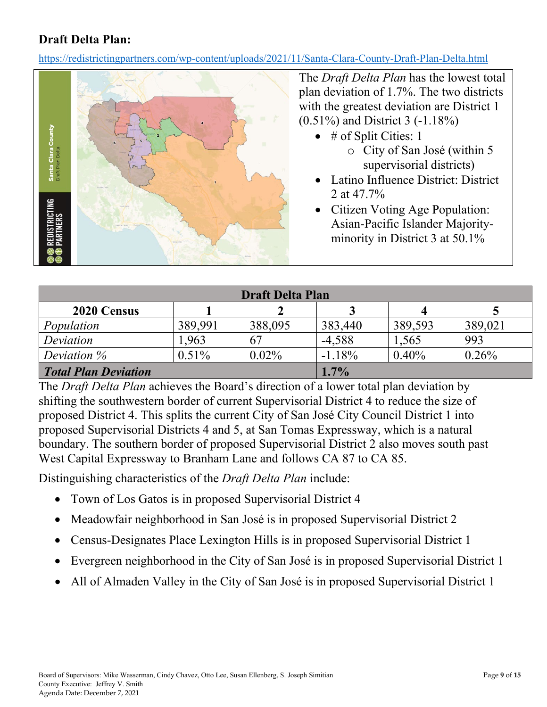### **Draft Delta Plan:**

<https://redistrictingpartners.com/wp-content/uploads/2021/11/Santa-Clara-County-Draft-Plan-Delta.html>



The *Draft Delta Plan* has the lowest total plan deviation of 1.7%. The two districts with the greatest deviation are District 1 (0.51%) and District 3 (-1.18%)

- $\bullet$  # of Split Cities: 1
	- o City of San José (within 5 supervisorial districts)
- Latino Influence District: District 2 at 47.7%
- Citizen Voting Age Population: Asian-Pacific Islander Majorityminority in District 3 at 50.1%

| <b>Draft Delta Plan</b>     |          |          |          |         |         |  |
|-----------------------------|----------|----------|----------|---------|---------|--|
| 2020 Census                 |          |          |          | 4       |         |  |
| Population                  | 389,991  | 388,095  | 383,440  | 389,593 | 389,021 |  |
| Deviation                   | 1,963    | 67       | $-4,588$ | 1,565   | 993     |  |
| Deviation $\%$              | $0.51\%$ | $0.02\%$ | $-1.18%$ | 0.40%   | 0.26%   |  |
| <b>Total Plan Deviation</b> | $1.7\%$  |          |          |         |         |  |

The *Draft Delta Plan* achieves the Board's direction of a lower total plan deviation by shifting the southwestern border of current Supervisorial District 4 to reduce the size of proposed District 4. This splits the current City of San José City Council District 1 into proposed Supervisorial Districts 4 and 5, at San Tomas Expressway, which is a natural boundary. The southern border of proposed Supervisorial District 2 also moves south past West Capital Expressway to Branham Lane and follows CA 87 to CA 85.

Distinguishing characteristics of the *Draft Delta Plan* include:

- Town of Los Gatos is in proposed Supervisorial District 4
- Meadowfair neighborhood in San José is in proposed Supervisorial District 2
- Census-Designates Place Lexington Hills is in proposed Supervisorial District 1
- Evergreen neighborhood in the City of San José is in proposed Supervisorial District 1
- All of Almaden Valley in the City of San José is in proposed Supervisorial District 1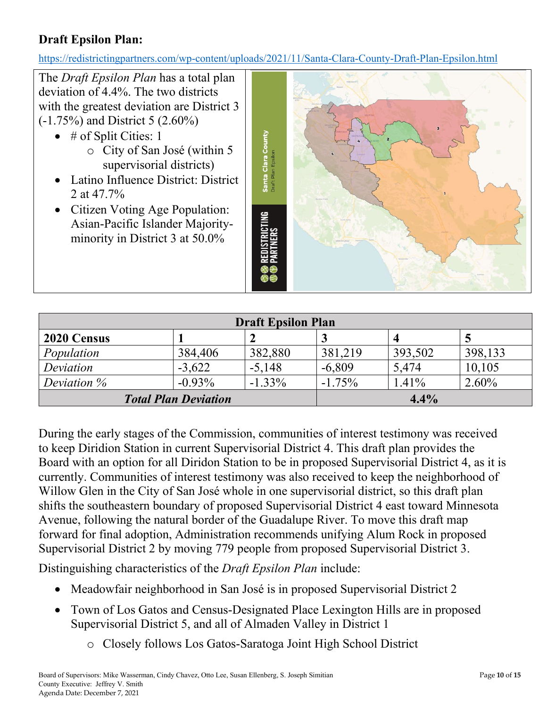## **Draft Epsilon Plan:**

<https://redistrictingpartners.com/wp-content/uploads/2021/11/Santa-Clara-County-Draft-Plan-Epsilon.html>

The *Draft Epsilon Plan* has a total plan deviation of 4.4%. The two districts with the greatest deviation are District 3 (-1.75%) and District 5 (2.60%)  $\bullet$  # of Split Cities: 1 Santa Clara County o City of San José (within 5 Draft Plan Epsilon supervisorial districts) • Latino Influence District: District 2 at 47.7% • Citizen Voting Age Population: STRICTING<br>Ners Asian-Pacific Islander Majorityminority in District 3 at 50.0%

| <b>Draft Epsilon Plan</b>   |           |           |           |         |          |  |
|-----------------------------|-----------|-----------|-----------|---------|----------|--|
| 2020 Census                 |           |           |           |         |          |  |
| Population                  | 384,406   | 382,880   | 381,219   | 393,502 | 398,133  |  |
| Deviation                   | $-3,622$  | $-5,148$  | $-6,809$  | 5.474   | 10,105   |  |
| Deviation $\%$              | $-0.93\%$ | $-1.33\%$ | $-1.75\%$ | 1.41%   | $2.60\%$ |  |
| <b>Total Plan Deviation</b> |           |           |           | 4.4%    |          |  |

During the early stages of the Commission, communities of interest testimony was received to keep Diridion Station in current Supervisorial District 4. This draft plan provides the Board with an option for all Diridon Station to be in proposed Supervisorial District 4, as it is currently. Communities of interest testimony was also received to keep the neighborhood of Willow Glen in the City of San José whole in one supervisorial district, so this draft plan shifts the southeastern boundary of proposed Supervisorial District 4 east toward Minnesota Avenue, following the natural border of the Guadalupe River. To move this draft map forward for final adoption, Administration recommends unifying Alum Rock in proposed Supervisorial District 2 by moving 779 people from proposed Supervisorial District 3.

Distinguishing characteristics of the *Draft Epsilon Plan* include:

- Meadowfair neighborhood in San José is in proposed Supervisorial District 2
- Town of Los Gatos and Census-Designated Place Lexington Hills are in proposed Supervisorial District 5, and all of Almaden Valley in District 1
	- o Closely follows Los Gatos-Saratoga Joint High School District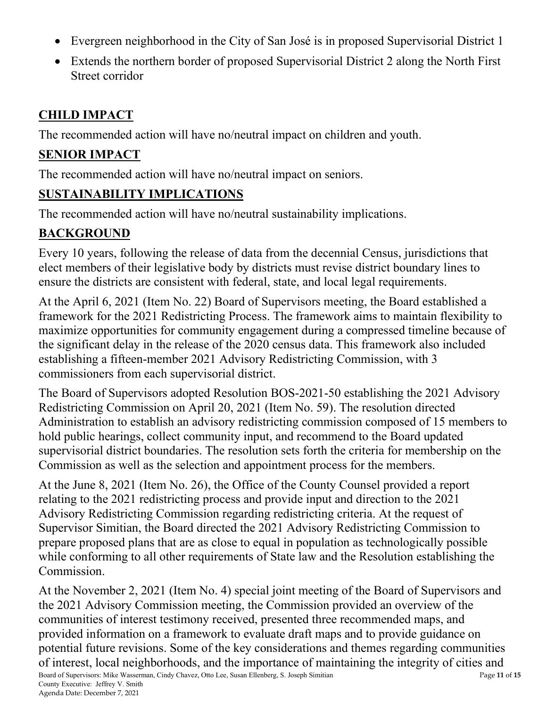- Evergreen neighborhood in the City of San José is in proposed Supervisorial District 1
- Extends the northern border of proposed Supervisorial District 2 along the North First Street corridor

## **CHILD IMPACT**

The recommended action will have no/neutral impact on children and youth.

## **SENIOR IMPACT**

The recommended action will have no/neutral impact on seniors.

## **SUSTAINABILITY IMPLICATIONS**

The recommended action will have no/neutral sustainability implications.

# **BACKGROUND**

Every 10 years, following the release of data from the decennial Census, jurisdictions that elect members of their legislative body by districts must revise district boundary lines to ensure the districts are consistent with federal, state, and local legal requirements.

At the April 6, 2021 (Item No. 22) Board of Supervisors meeting, the Board established a framework for the 2021 Redistricting Process. The framework aims to maintain flexibility to maximize opportunities for community engagement during a compressed timeline because of the significant delay in the release of the 2020 census data. This framework also included establishing a fifteen-member 2021 Advisory Redistricting Commission, with 3 commissioners from each supervisorial district.

The Board of Supervisors adopted Resolution BOS-2021-50 establishing the 2021 Advisory Redistricting Commission on April 20, 2021 (Item No. 59). The resolution directed Administration to establish an advisory redistricting commission composed of 15 members to hold public hearings, collect community input, and recommend to the Board updated supervisorial district boundaries. The resolution sets forth the criteria for membership on the Commission as well as the selection and appointment process for the members.

At the June 8, 2021 (Item No. 26), the Office of the County Counsel provided a report relating to the 2021 redistricting process and provide input and direction to the 2021 Advisory Redistricting Commission regarding redistricting criteria. At the request of Supervisor Simitian, the Board directed the 2021 Advisory Redistricting Commission to prepare proposed plans that are as close to equal in population as technologically possible while conforming to all other requirements of State law and the Resolution establishing the Commission.

Board of Supervisors: Mike Wasserman, Cindy Chavez, Otto Lee, Susan Ellenberg, S. Joseph Simitian Page **11** of **15** County Executive: Jeffrey V. Smith At the November 2, 2021 (Item No. 4) special joint meeting of the Board of Supervisors and the 2021 Advisory Commission meeting, the Commission provided an overview of the communities of interest testimony received, presented three recommended maps, and provided information on a framework to evaluate draft maps and to provide guidance on potential future revisions. Some of the key considerations and themes regarding communities of interest, local neighborhoods, and the importance of maintaining the integrity of cities and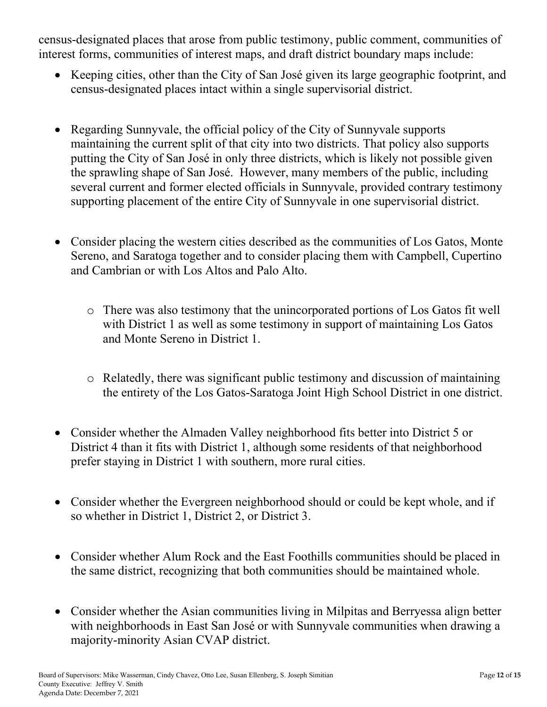census-designated places that arose from public testimony, public comment, communities of interest forms, communities of interest maps, and draft district boundary maps include:

- Keeping cities, other than the City of San José given its large geographic footprint, and census-designated places intact within a single supervisorial district.
- Regarding Sunnyvale, the official policy of the City of Sunnyvale supports maintaining the current split of that city into two districts. That policy also supports putting the City of San José in only three districts, which is likely not possible given the sprawling shape of San José. However, many members of the public, including several current and former elected officials in Sunnyvale, provided contrary testimony supporting placement of the entire City of Sunnyvale in one supervisorial district.
- Consider placing the western cities described as the communities of Los Gatos, Monte Sereno, and Saratoga together and to consider placing them with Campbell, Cupertino and Cambrian or with Los Altos and Palo Alto.
	- o There was also testimony that the unincorporated portions of Los Gatos fit well with District 1 as well as some testimony in support of maintaining Los Gatos and Monte Sereno in District 1.
	- o Relatedly, there was significant public testimony and discussion of maintaining the entirety of the Los Gatos-Saratoga Joint High School District in one district.
- Consider whether the Almaden Valley neighborhood fits better into District 5 or District 4 than it fits with District 1, although some residents of that neighborhood prefer staying in District 1 with southern, more rural cities.
- Consider whether the Evergreen neighborhood should or could be kept whole, and if so whether in District 1, District 2, or District 3.
- Consider whether Alum Rock and the East Foothills communities should be placed in the same district, recognizing that both communities should be maintained whole.
- Consider whether the Asian communities living in Milpitas and Berryessa align better with neighborhoods in East San José or with Sunnyvale communities when drawing a majority-minority Asian CVAP district.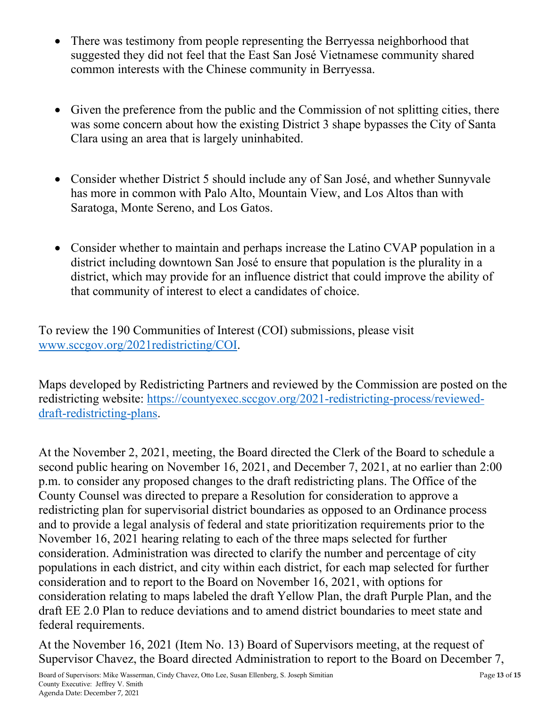- There was testimony from people representing the Berryessa neighborhood that suggested they did not feel that the East San José Vietnamese community shared common interests with the Chinese community in Berryessa.
- Given the preference from the public and the Commission of not splitting cities, there was some concern about how the existing District 3 shape bypasses the City of Santa Clara using an area that is largely uninhabited.
- Consider whether District 5 should include any of San José, and whether Sunnyvale has more in common with Palo Alto, Mountain View, and Los Altos than with Saratoga, Monte Sereno, and Los Gatos.
- Consider whether to maintain and perhaps increase the Latino CVAP population in a district including downtown San José to ensure that population is the plurality in a district, which may provide for an influence district that could improve the ability of that community of interest to elect a candidates of choice.

To review the 190 Communities of Interest (COI) submissions, please visit [www.sccgov.org/2021redistricting/COI.](http://www.sccgov.org/2021redistricting/COI)

Maps developed by Redistricting Partners and reviewed by the Commission are posted on the redistricting website: [https://countyexec.sccgov.org/2021-redistricting-process/reviewed](https://countyexec.sccgov.org/2021-redistricting-process/reviewed-draft-redistricting-plans)[draft-redistricting-plans.](https://countyexec.sccgov.org/2021-redistricting-process/reviewed-draft-redistricting-plans)

At the November 2, 2021, meeting, the Board directed the Clerk of the Board to schedule a second public hearing on November 16, 2021, and December 7, 2021, at no earlier than 2:00 p.m. to consider any proposed changes to the draft redistricting plans. The Office of the County Counsel was directed to prepare a Resolution for consideration to approve a redistricting plan for supervisorial district boundaries as opposed to an Ordinance process and to provide a legal analysis of federal and state prioritization requirements prior to the November 16, 2021 hearing relating to each of the three maps selected for further consideration. Administration was directed to clarify the number and percentage of city populations in each district, and city within each district, for each map selected for further consideration and to report to the Board on November 16, 2021, with options for consideration relating to maps labeled the draft Yellow Plan, the draft Purple Plan, and the draft EE 2.0 Plan to reduce deviations and to amend district boundaries to meet state and federal requirements.

At the November 16, 2021 (Item No. 13) Board of Supervisors meeting, at the request of Supervisor Chavez, the Board directed Administration to report to the Board on December 7,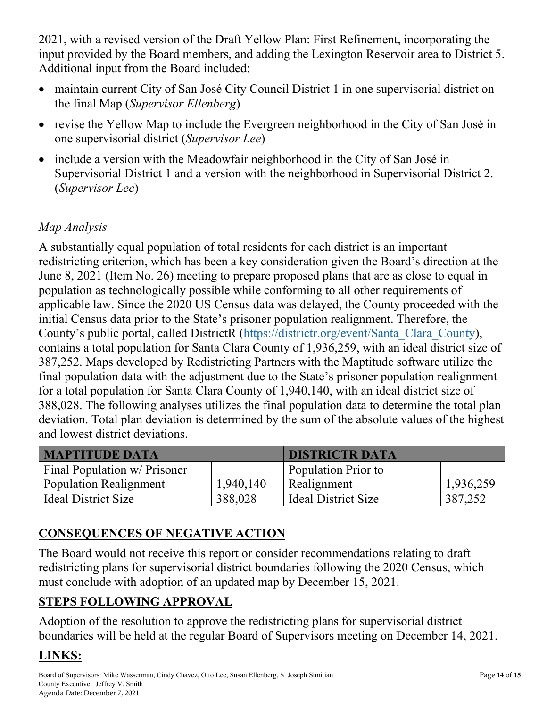2021, with a revised version of the Draft Yellow Plan: First Refinement, incorporating the input provided by the Board members, and adding the Lexington Reservoir area to District 5. Additional input from the Board included:

- maintain current City of San José City Council District 1 in one supervisorial district on the final Map (*Supervisor Ellenberg*)
- revise the Yellow Map to include the Evergreen neighborhood in the City of San José in one supervisorial district (*Supervisor Lee*)
- include a version with the Meadowfair neighborhood in the City of San José in Supervisorial District 1 and a version with the neighborhood in Supervisorial District 2. (*Supervisor Lee*)

## *Map Analysis*

A substantially equal population of total residents for each district is an important redistricting criterion, which has been a key consideration given the Board's direction at the June 8, 2021 (Item No. 26) meeting to prepare proposed plans that are as close to equal in population as technologically possible while conforming to all other requirements of applicable law. Since the 2020 US Census data was delayed, the County proceeded with the initial Census data prior to the State's prisoner population realignment. Therefore, the County's public portal, called DistrictR [\(https://districtr.org/event/Santa\\_Clara\\_County\)](https://districtr.org/event/Santa_Clara_County), contains a total population for Santa Clara County of 1,936,259, with an ideal district size of 387,252. Maps developed by Redistricting Partners with the Maptitude software utilize the final population data with the adjustment due to the State's prisoner population realignment for a total population for Santa Clara County of 1,940,140, with an ideal district size of 388,028. The following analyses utilizes the final population data to determine the total plan deviation. Total plan deviation is determined by the sum of the absolute values of the highest and lowest district deviations.

| <b>MAPTITUDE DATA</b>        |           | <b>DISTRICTR DATA</b>      |           |
|------------------------------|-----------|----------------------------|-----------|
| Final Population w/ Prisoner |           | <b>Population Prior to</b> |           |
| Population Realignment       | 1,940,140 | Realignment                | 1,936,259 |
| Ideal District Size          | 388,028   | <b>Ideal District Size</b> | 387,252   |

# **CONSEQUENCES OF NEGATIVE ACTION**

The Board would not receive this report or consider recommendations relating to draft redistricting plans for supervisorial district boundaries following the 2020 Census, which must conclude with adoption of an updated map by December 15, 2021.

# **STEPS FOLLOWING APPROVAL**

Adoption of the resolution to approve the redistricting plans for supervisorial district boundaries will be held at the regular Board of Supervisors meeting on December 14, 2021.

# **LINKS:**